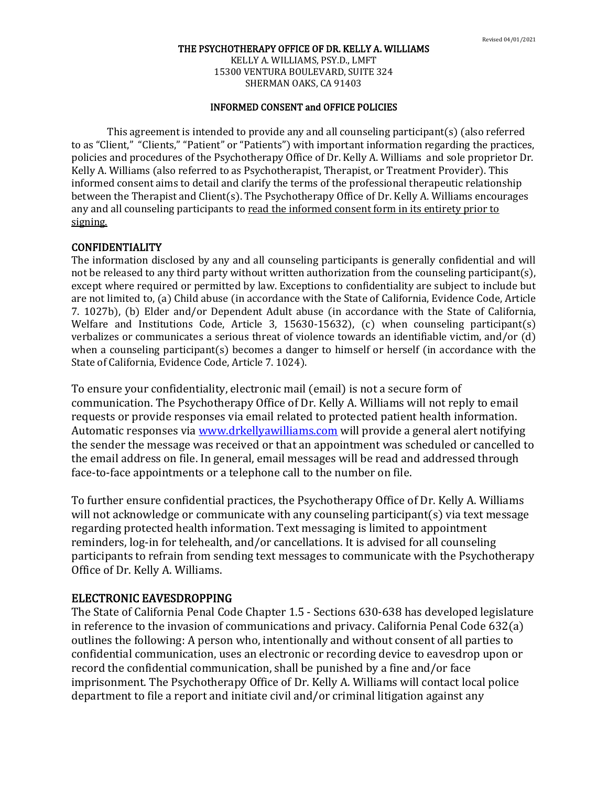KELLY A. WILLIAMS, PSY.D., LMFT 15300 VENTURA BOULEVARD, SUITE 324 SHERMAN OAKS, CA 91403

### INFORMED CONSENT and OFFICE POLICIES

This agreement is intended to provide any and all counseling participant(s) (also referred to as "Client," "Clients," "Patient" or "Patients") with important information regarding the practices, policies and procedures of the Psychotherapy Office of Dr. Kelly A. Williams and sole proprietor Dr. Kelly A. Williams (also referred to as Psychotherapist, Therapist, or Treatment Provider). This informed consent aims to detail and clarify the terms of the professional therapeutic relationship between the Therapist and Client(s). The Psychotherapy Office of Dr. Kelly A. Williams encourages any and all counseling participants to read the informed consent form in its entirety prior to signing.

## CONFIDENTIALITY

The information disclosed by any and all counseling participants is generally confidential and will not be released to any third party without written authorization from the counseling participant(s), except where required or permitted by law. Exceptions to confidentiality are subject to include but are not limited to, (a) Child abuse (in accordance with the State of California, Evidence Code, Article 7. 1027b), (b) Elder and/or Dependent Adult abuse (in accordance with the State of California, Welfare and Institutions Code, Article 3, 15630-15632), (c) when counseling participant(s) verbalizes or communicates a serious threat of violence towards an identifiable victim, and/or (d) when a counseling participant(s) becomes a danger to himself or herself (in accordance with the State of California, Evidence Code, Article 7. 1024).

To ensure your confidentiality, electronic mail (email) is not a secure form of communication. The Psychotherapy Office of Dr. Kelly A. Williams will not reply to email requests or provide responses via email related to protected patient health information. Automatic responses via [www.drkellyawilliams.com](http://www.drkellyawilliams.com/) will provide a general alert notifying the sender the message was received or that an appointment was scheduled or cancelled to the email address on file. In general, email messages will be read and addressed through face-to-face appointments or a telephone call to the number on file.

To further ensure confidential practices, the Psychotherapy Office of Dr. Kelly A. Williams will not acknowledge or communicate with any counseling participant(s) via text message regarding protected health information. Text messaging is limited to appointment reminders, log-in for telehealth, and/or cancellations. It is advised for all counseling participants to refrain from sending text messages to communicate with the Psychotherapy Office of Dr. Kelly A. Williams.

## ELECTRONIC EAVESDROPPING

The State of California Penal Code Chapter 1.5 - Sections 630-638 has developed legislature in reference to the invasion of communications and privacy. California Penal Code 632(a) outlines the following: A person who, intentionally and without consent of all parties to confidential communication, uses an electronic or recording device to eavesdrop upon or record the confidential communication, shall be punished by a fine and/or face imprisonment. The Psychotherapy Office of Dr. Kelly A. Williams will contact local police department to file a report and initiate civil and/or criminal litigation against any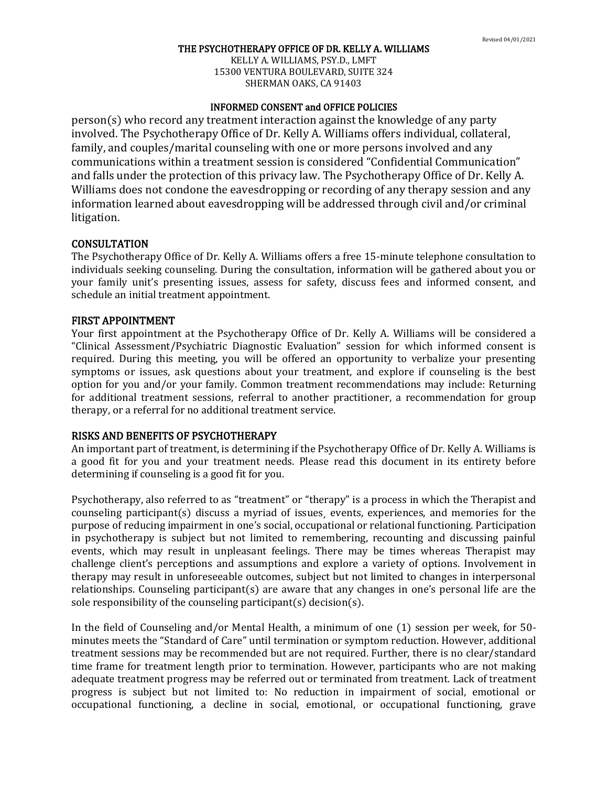KELLY A. WILLIAMS, PSY.D., LMFT 15300 VENTURA BOULEVARD, SUITE 324 SHERMAN OAKS, CA 91403

### INFORMED CONSENT and OFFICE POLICIES

person(s) who record any treatment interaction against the knowledge of any party involved. The Psychotherapy Office of Dr. Kelly A. Williams offers individual, collateral, family, and couples/marital counseling with one or more persons involved and any communications within a treatment session is considered "Confidential Communication" and falls under the protection of this privacy law. The Psychotherapy Office of Dr. Kelly A. Williams does not condone the eavesdropping or recording of any therapy session and any information learned about eavesdropping will be addressed through civil and/or criminal litigation.

### **CONSULTATION**

The Psychotherapy Office of Dr. Kelly A. Williams offers a free 15-minute telephone consultation to individuals seeking counseling. During the consultation, information will be gathered about you or your family unit's presenting issues, assess for safety, discuss fees and informed consent, and schedule an initial treatment appointment.

#### FIRST APPOINTMENT

Your first appointment at the Psychotherapy Office of Dr. Kelly A. Williams will be considered a "Clinical Assessment/Psychiatric Diagnostic Evaluation" session for which informed consent is required. During this meeting, you will be offered an opportunity to verbalize your presenting symptoms or issues, ask questions about your treatment, and explore if counseling is the best option for you and/or your family. Common treatment recommendations may include: Returning for additional treatment sessions, referral to another practitioner, a recommendation for group therapy, or a referral for no additional treatment service.

#### RISKS AND BENEFITS OF PSYCHOTHERAPY

An important part of treatment, is determining if the Psychotherapy Office of Dr. Kelly A. Williams is a good fit for you and your treatment needs. Please read this document in its entirety before determining if counseling is a good fit for you.

Psychotherapy, also referred to as "treatment" or "therapy" is a process in which the Therapist and counseling participant(s) discuss a myriad of issues¸ events, experiences, and memories for the purpose of reducing impairment in one's social, occupational or relational functioning. Participation in psychotherapy is subject but not limited to remembering, recounting and discussing painful events, which may result in unpleasant feelings. There may be times whereas Therapist may challenge client's perceptions and assumptions and explore a variety of options. Involvement in therapy may result in unforeseeable outcomes, subject but not limited to changes in interpersonal relationships. Counseling participant(s) are aware that any changes in one's personal life are the sole responsibility of the counseling participant(s) decision(s).

In the field of Counseling and/or Mental Health, a minimum of one (1) session per week, for 50 minutes meets the "Standard of Care" until termination or symptom reduction. However, additional treatment sessions may be recommended but are not required. Further, there is no clear/standard time frame for treatment length prior to termination. However, participants who are not making adequate treatment progress may be referred out or terminated from treatment. Lack of treatment progress is subject but not limited to: No reduction in impairment of social, emotional or occupational functioning, a decline in social, emotional, or occupational functioning, grave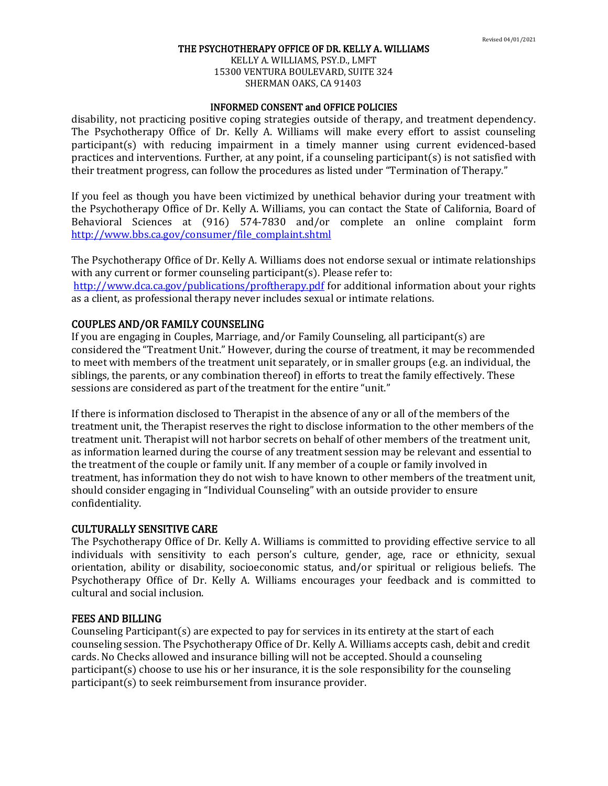KELLY A. WILLIAMS, PSY.D., LMFT 15300 VENTURA BOULEVARD, SUITE 324 SHERMAN OAKS, CA 91403

#### INFORMED CONSENT and OFFICE POLICIES

disability, not practicing positive coping strategies outside of therapy, and treatment dependency. The Psychotherapy Office of Dr. Kelly A. Williams will make every effort to assist counseling participant(s) with reducing impairment in a timely manner using current evidenced-based practices and interventions. Further, at any point, if a counseling participant(s) is not satisfied with their treatment progress, can follow the procedures as listed under "Termination of Therapy."

If you feel as though you have been victimized by unethical behavior during your treatment with the Psychotherapy Office of Dr. Kelly A. Williams, you can contact the State of California, Board of Behavioral Sciences at (916) 574-7830 and/or complete an online complaint form [http://www.bbs.ca.gov/consumer/file\\_complaint.shtml](http://www.bbs.ca.gov/consumer/file_complaint.shtml)

The Psychotherapy Office of Dr. Kelly A. Williams does not endorse sexual or intimate relationships with any current or former counseling participant(s). Please refer to:

<http://www.dca.ca.gov/publications/proftherapy.pdf> for additional information about your rights as a client, as professional therapy never includes sexual or intimate relations.

### COUPLES AND/OR FAMILY COUNSELING

If you are engaging in Couples, Marriage, and/or Family Counseling, all participant(s) are considered the "Treatment Unit." However, during the course of treatment, it may be recommended to meet with members of the treatment unit separately, or in smaller groups (e.g. an individual, the siblings, the parents, or any combination thereof) in efforts to treat the family effectively. These sessions are considered as part of the treatment for the entire "unit."

If there is information disclosed to Therapist in the absence of any or all of the members of the treatment unit, the Therapist reserves the right to disclose information to the other members of the treatment unit. Therapist will not harbor secrets on behalf of other members of the treatment unit, as information learned during the course of any treatment session may be relevant and essential to the treatment of the couple or family unit. If any member of a couple or family involved in treatment, has information they do not wish to have known to other members of the treatment unit, should consider engaging in "Individual Counseling" with an outside provider to ensure confidentiality.

#### CULTURALLY SENSITIVE CARE

The Psychotherapy Office of Dr. Kelly A. Williams is committed to providing effective service to all individuals with sensitivity to each person's culture, gender, age, race or ethnicity, sexual orientation, ability or disability, socioeconomic status, and/or spiritual or religious beliefs. The Psychotherapy Office of Dr. Kelly A. Williams encourages your feedback and is committed to cultural and social inclusion.

## FEES AND BILLING

Counseling Participant(s) are expected to pay for services in its entirety at the start of each counseling session. The Psychotherapy Office of Dr. Kelly A. Williams accepts cash, debit and credit cards. No Checks allowed and insurance billing will not be accepted. Should a counseling participant(s) choose to use his or her insurance, it is the sole responsibility for the counseling participant(s) to seek reimbursement from insurance provider.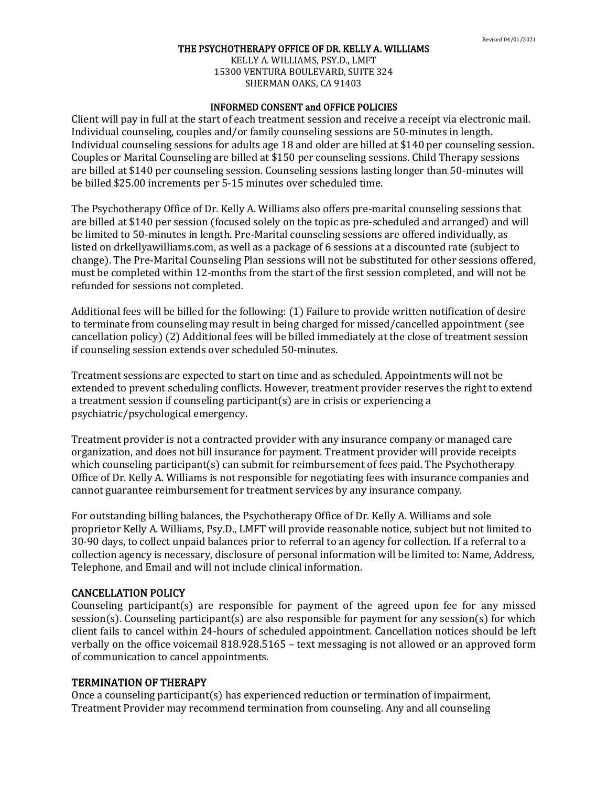KELLY A. WILLIAMS, PSY.D., LMFT 15300 VENTURA BOULEVARD, SUITE 324 SHERMAN OAKS, CA 91403

### INFORMED CONSENT and OFFICE POLICIES

Client will pay in full at the start of each treatment session and receive a receipt via electronic mail. Individual counseling, couples and/or family counseling sessions are 50-minutes in length. Individual counseling sessions for adults age 18 and older are billed at \$140 per counseling session. Couples or Marital Counseling are billed at \$150 per counseling sessions. Child Therapy sessions are billed at \$140 per counseling session. Counseling sessions lasting longer than 50-minutes will be billed \$25.00 increments per 5-15 minutes over scheduled time.

The Psychotherapy Office of Dr. Kelly A. Williams also offers pre-marital counseling sessions that are billed at \$140 per session (focused solely on the topic as pre-scheduled and arranged) and will be limited to 50-minutes in length. Pre-Marital counseling sessions are offered individually, as listed on drkellyawilliams.com, as well as a package of 6 sessions at a discounted rate (subject to change). The Pre-Marital Counseling Plan sessions will not be substituted for other sessions offered, must be completed within 12-months from the start of the first session completed, and will not be refunded for sessions not completed.

Additional fees will be billed for the following: (1) Failure to provide written notification of desire to terminate from counseling may result in being charged for missed/cancelled appointment (see cancellation policy) (2) Additional fees will be billed immediately at the close of treatment session if counseling session extends over scheduled 50-minutes.

Treatment sessions are expected to start on time and as scheduled. Appointments will not be extended to prevent scheduling conflicts. However, treatment provider reserves the right to extend a treatment session if counseling participant(s) are in crisis or experiencing a psychiatric/psychological emergency.

Treatment provider is not a contracted provider with any insurance company or managed care organization, and does not bill insurance for payment. Treatment provider will provide receipts which counseling participant(s) can submit for reimbursement of fees paid. The Psychotherapy Office of Dr. Kelly A. Williams is not responsible for negotiating fees with insurance companies and cannot guarantee reimbursement for treatment services by any insurance company.

For outstanding billing balances, the Psychotherapy Office of Dr. Kelly A. Williams and sole proprietor Kelly A. Williams, Psy.D., LMFT will provide reasonable notice, subject but not limited to 30-90 days, to collect unpaid balances prior to referral to an agency for collection. If a referral to a collection agency is necessary, disclosure of personal information will be limited to: Name, Address, Telephone, and Email and will not include clinical information.

## CANCELLATION POLICY

Counseling participant(s) are responsible for payment of the agreed upon fee for any missed session(s). Counseling participant(s) are also responsible for payment for any session(s) for which client fails to cancel within 24-hours of scheduled appointment. Cancellation notices should be left verbally on the office voicemail 818.928.5165 – text messaging is not allowed or an approved form of communication to cancel appointments.

## TERMINATION OF THERAPY

Once a counseling participant(s) has experienced reduction or termination of impairment, Treatment Provider may recommend termination from counseling. Any and all counseling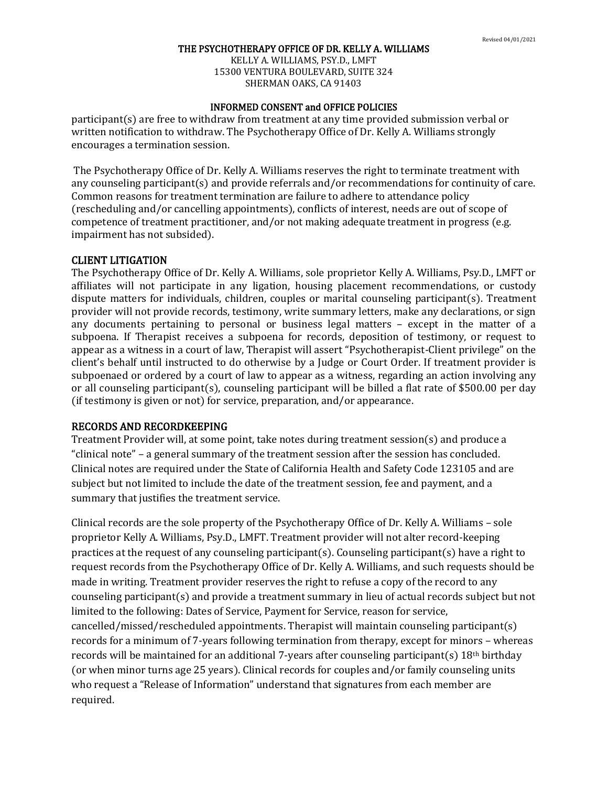KELLY A. WILLIAMS, PSY.D., LMFT 15300 VENTURA BOULEVARD, SUITE 324 SHERMAN OAKS, CA 91403

## INFORMED CONSENT and OFFICE POLICIES

participant(s) are free to withdraw from treatment at any time provided submission verbal or written notification to withdraw. The Psychotherapy Office of Dr. Kelly A. Williams strongly encourages a termination session.

The Psychotherapy Office of Dr. Kelly A. Williams reserves the right to terminate treatment with any counseling participant(s) and provide referrals and/or recommendations for continuity of care. Common reasons for treatment termination are failure to adhere to attendance policy (rescheduling and/or cancelling appointments), conflicts of interest, needs are out of scope of competence of treatment practitioner, and/or not making adequate treatment in progress (e.g. impairment has not subsided).

### CLIENT LITIGATION

The Psychotherapy Office of Dr. Kelly A. Williams, sole proprietor Kelly A. Williams, Psy.D., LMFT or affiliates will not participate in any ligation, housing placement recommendations, or custody dispute matters for individuals, children, couples or marital counseling participant(s). Treatment provider will not provide records, testimony, write summary letters, make any declarations, or sign any documents pertaining to personal or business legal matters – except in the matter of a subpoena. If Therapist receives a subpoena for records, deposition of testimony, or request to appear as a witness in a court of law, Therapist will assert "Psychotherapist-Client privilege" on the client's behalf until instructed to do otherwise by a Judge or Court Order. If treatment provider is subpoenaed or ordered by a court of law to appear as a witness, regarding an action involving any or all counseling participant(s), counseling participant will be billed a flat rate of \$500.00 per day (if testimony is given or not) for service, preparation, and/or appearance.

# RECORDS AND RECORDKEEPING

Treatment Provider will, at some point, take notes during treatment session(s) and produce a "clinical note" – a general summary of the treatment session after the session has concluded. Clinical notes are required under the State of California Health and Safety Code 123105 and are subject but not limited to include the date of the treatment session, fee and payment, and a summary that justifies the treatment service.

Clinical records are the sole property of the Psychotherapy Office of Dr. Kelly A. Williams – sole proprietor Kelly A. Williams, Psy.D., LMFT. Treatment provider will not alter record-keeping practices at the request of any counseling participant(s). Counseling participant(s) have a right to request records from the Psychotherapy Office of Dr. Kelly A. Williams, and such requests should be made in writing. Treatment provider reserves the right to refuse a copy of the record to any counseling participant(s) and provide a treatment summary in lieu of actual records subject but not limited to the following: Dates of Service, Payment for Service, reason for service, cancelled/missed/rescheduled appointments. Therapist will maintain counseling participant(s) records for a minimum of 7-years following termination from therapy, except for minors – whereas records will be maintained for an additional 7-years after counseling participant(s) 18th birthday (or when minor turns age 25 years). Clinical records for couples and/or family counseling units who request a "Release of Information" understand that signatures from each member are required.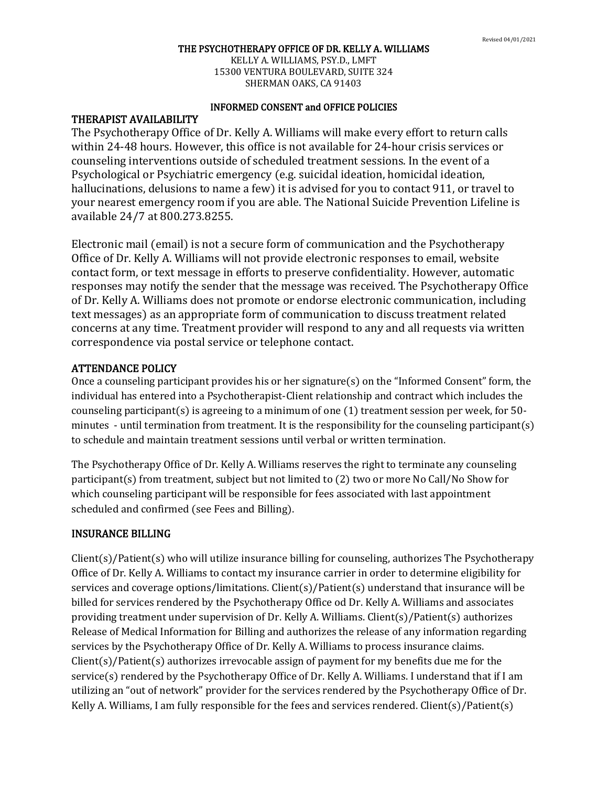KELLY A. WILLIAMS, PSY.D., LMFT 15300 VENTURA BOULEVARD, SUITE 324 SHERMAN OAKS, CA 91403

## INFORMED CONSENT and OFFICE POLICIES

## THERAPIST AVAILABILITY

The Psychotherapy Office of Dr. Kelly A. Williams will make every effort to return calls within 24-48 hours. However, this office is not available for 24-hour crisis services or counseling interventions outside of scheduled treatment sessions. In the event of a Psychological or Psychiatric emergency (e.g. suicidal ideation, homicidal ideation, hallucinations, delusions to name a few) it is advised for you to contact 911, or travel to your nearest emergency room if you are able. The National Suicide Prevention Lifeline is available 24/7 at 800.273.8255.

Electronic mail (email) is not a secure form of communication and the Psychotherapy Office of Dr. Kelly A. Williams will not provide electronic responses to email, website contact form, or text message in efforts to preserve confidentiality. However, automatic responses may notify the sender that the message was received. The Psychotherapy Office of Dr. Kelly A. Williams does not promote or endorse electronic communication, including text messages) as an appropriate form of communication to discuss treatment related concerns at any time. Treatment provider will respond to any and all requests via written correspondence via postal service or telephone contact.

# ATTENDANCE POLICY

Once a counseling participant provides his or her signature(s) on the "Informed Consent" form, the individual has entered into a Psychotherapist-Client relationship and contract which includes the counseling participant(s) is agreeing to a minimum of one (1) treatment session per week, for 50 minutes - until termination from treatment. It is the responsibility for the counseling participant(s) to schedule and maintain treatment sessions until verbal or written termination.

The Psychotherapy Office of Dr. Kelly A. Williams reserves the right to terminate any counseling participant(s) from treatment, subject but not limited to (2) two or more No Call/No Show for which counseling participant will be responsible for fees associated with last appointment scheduled and confirmed (see Fees and Billing).

## INSURANCE BILLING

Client(s)/Patient(s) who will utilize insurance billing for counseling, authorizes The Psychotherapy Office of Dr. Kelly A. Williams to contact my insurance carrier in order to determine eligibility for services and coverage options/limitations. Client(s)/Patient(s) understand that insurance will be billed for services rendered by the Psychotherapy Office od Dr. Kelly A. Williams and associates providing treatment under supervision of Dr. Kelly A. Williams. Client(s)/Patient(s) authorizes Release of Medical Information for Billing and authorizes the release of any information regarding services by the Psychotherapy Office of Dr. Kelly A. Williams to process insurance claims. Client(s)/Patient(s) authorizes irrevocable assign of payment for my benefits due me for the service(s) rendered by the Psychotherapy Office of Dr. Kelly A. Williams. I understand that if I am utilizing an "out of network" provider for the services rendered by the Psychotherapy Office of Dr. Kelly A. Williams, I am fully responsible for the fees and services rendered. Client(s)/Patient(s)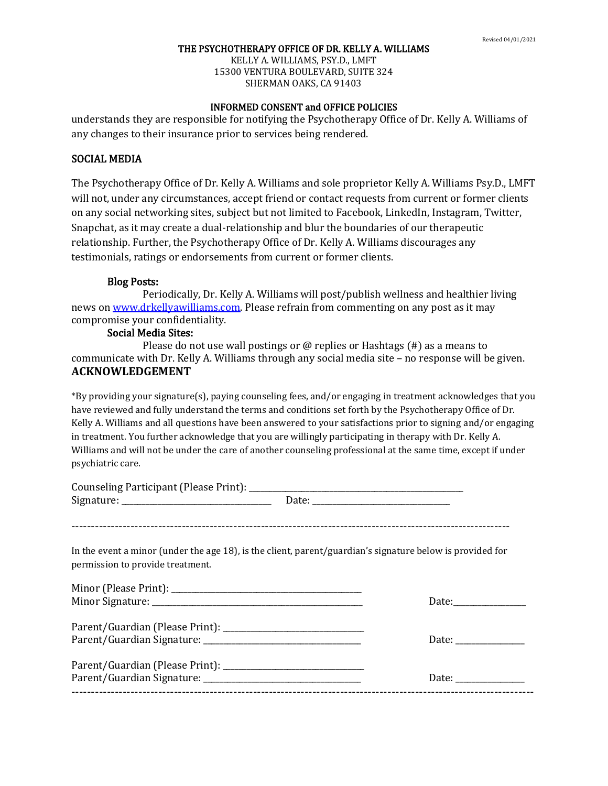KELLY A. WILLIAMS, PSY.D., LMFT 15300 VENTURA BOULEVARD, SUITE 324 SHERMAN OAKS, CA 91403

## INFORMED CONSENT and OFFICE POLICIES

understands they are responsible for notifying the Psychotherapy Office of Dr. Kelly A. Williams of any changes to their insurance prior to services being rendered.

## SOCIAL MEDIA

The Psychotherapy Office of Dr. Kelly A. Williams and sole proprietor Kelly A. Williams Psy.D., LMFT will not, under any circumstances, accept friend or contact requests from current or former clients on any social networking sites, subject but not limited to Facebook, LinkedIn, Instagram, Twitter, Snapchat, as it may create a dual-relationship and blur the boundaries of our therapeutic relationship. Further, the Psychotherapy Office of Dr. Kelly A. Williams discourages any testimonials, ratings or endorsements from current or former clients.

#### Blog Posts:

Periodically, Dr. Kelly A. Williams will post/publish wellness and healthier living news o[n www.drkellyawilliams.com.](http://www.drkellyawilliams.com/) Please refrain from commenting on any post as it may compromise your confidentiality.

## Social Media Sites:

Please do not use wall postings or  $\omega$  replies or Hashtags (#) as a means to communicate with Dr. Kelly A. Williams through any social media site – no response will be given. **ACKNOWLEDGEMENT**

\*By providing your signature(s), paying counseling fees, and/or engaging in treatment acknowledges that you have reviewed and fully understand the terms and conditions set forth by the Psychotherapy Office of Dr. Kelly A. Williams and all questions have been answered to your satisfactions prior to signing and/or engaging in treatment. You further acknowledge that you are willingly participating in therapy with Dr. Kelly A. Williams and will not be under the care of another counseling professional at the same time, except if under psychiatric care.

| In the event a minor (under the age 18), is the client, parent/guardian's signature below is provided for<br>permission to provide treatment. |       |
|-----------------------------------------------------------------------------------------------------------------------------------------------|-------|
|                                                                                                                                               |       |
|                                                                                                                                               | Date: |
|                                                                                                                                               |       |